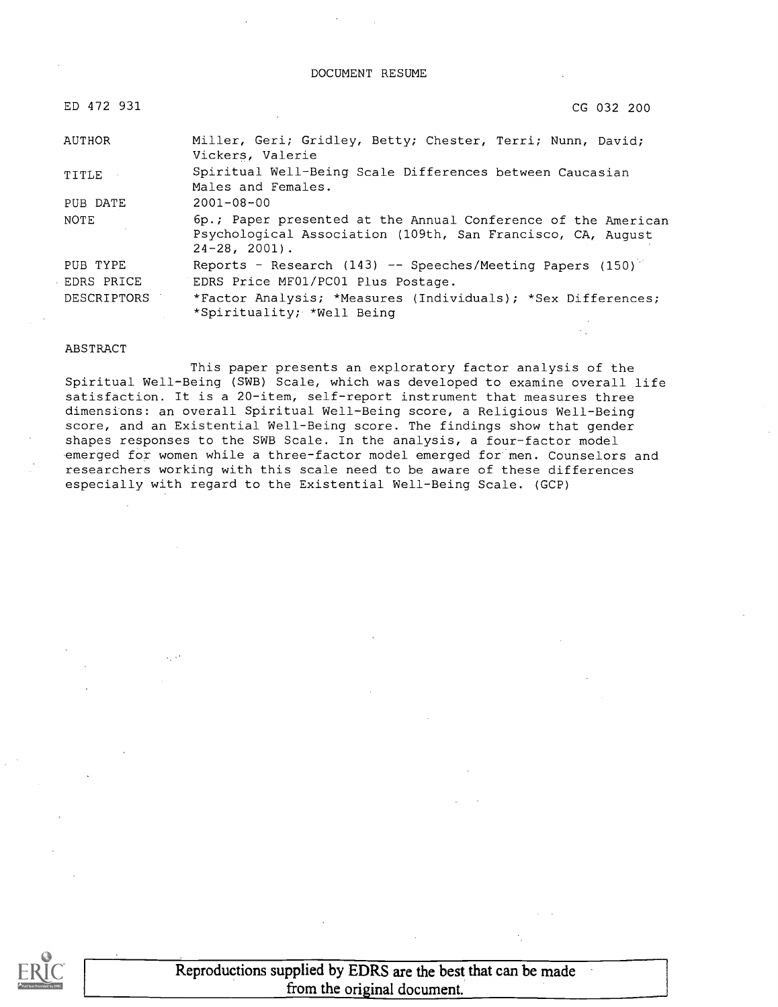#### DOCUMENT RESUME

| ED 472 931  | CG 032 200                                                                                                                                         |  |
|-------------|----------------------------------------------------------------------------------------------------------------------------------------------------|--|
| AUTHOR      | Miller, Geri; Gridley, Betty; Chester, Terri; Nunn, David;<br>Vickers, Valerie                                                                     |  |
| TITLE       | Spiritual Well-Being Scale Differences between Caucasian<br>Males and Females.                                                                     |  |
| PUB DATE    | $2001 - 08 - 00$                                                                                                                                   |  |
| NOTE        | 6p.; Paper presented at the Annual Conference of the American<br>Psychological Association (109th, San Francisco, CA, August<br>$24 - 28$ , 2001). |  |
| PUB TYPE    | Reports - Research (143) -- Speeches/Meeting Papers (150)                                                                                          |  |
| EDRS PRICE  | EDRS Price MF01/PC01 Plus Postage.                                                                                                                 |  |
| DESCRIPTORS | *Factor Analysis; *Measures (Individuals); *Sex Differences;<br>*Spirituality; *Well Being                                                         |  |

#### ABSTRACT

This paper presents an exploratory factor analysis of the Spiritual Well-Being (SWB) Scale, which was developed to examine overall life satisfaction. It is a 20-item, self-report instrument that measures three dimensions: an overall Spiritual Well-Being score, a Religious Well-Being score, and an Existential Well-Being score. The findings show that gender shapes responses to the SWB Scale. In the analysis, a four-factor model emerged for women while a three-factor model emerged for men. Counselors and researchers working with this scale need to be aware of these differences especially with regard to the Existential Well-Being Scale. (GCP)



Reproductions supplied by EDRS are the best that can be made from the original document.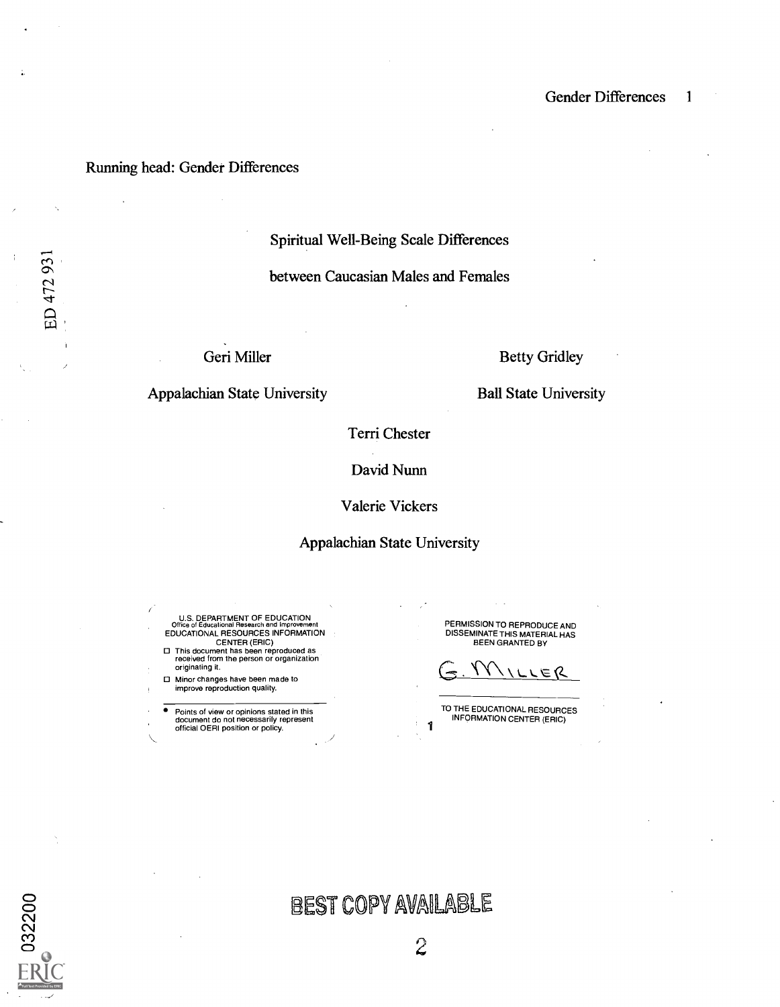### Running head: Gender Differences

Spiritual Well-Being Scale Differences

between Caucasian Males and Females

Geri Miller

Betty Gridley

Appalachian State University

Ball State University

Terri Chester

David Nunn

Valerie Vickers

#### Appalachian State University

U.S. DEPARTMENT OF EDUCATION Office of Educational Research and Improvement EDUCATIONAL RESOURCES INFORMATION CENTER (ERIC)

This document has been reproduced as received from the person or organization originating it.

Minor changes have been made to improve reproduction quality.

Points of view or opinions stated in this document do not necessarily represent official OERI position or policy.

PERMISSION TO REPRODUCE AND DISSEMINATE THIS MATERIAL HAS BEEN GRANTED BY

 $G.M...$ 

TO THE EDUCATIONAL RESOURCES INFORMATION CENTER (ERIC) 1



ED 472 931

# BEST COPY AVAILABLE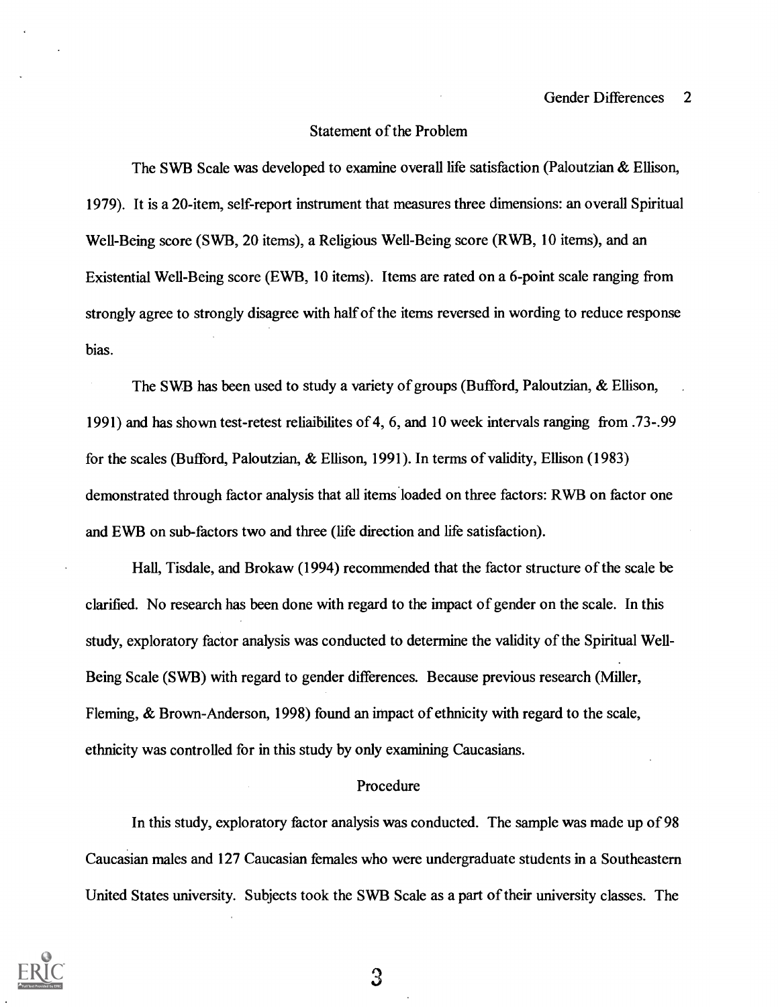### Statement of the Problem

The SWB Scale was developed to examine overall life satisfaction (Paloutzian & Ellison, 1979). It is a 20-item, self-report instrument that measures three dimensions: an overall Spiritual Well-Being score (SWB, 20 items), a Religious Well-Being score (RWB, 10 items), and an Existential Well-Being score (EWB, 10 items). Items are rated on a 6-point scale ranging from strongly agree to strongly disagree with half of the items reversed in wording to reduce response bias.

The SWB has been used to study a variety of groups (Bufford, Paloutzian, & Ellison, 1991) and has shown test-retest reliaibilites of 4, 6, and 10 week intervals ranging from .73-.99 for the scales (Bufford, Paloutzian, & Ellison, 1991). In terms of validity, Ellison (1983) demonstrated through factor analysis that all items.loaded on three factors: RWB on factor one and EWB on sub-factors two and three (life direction and life satisfaction).

Hall, Tisdale, and Brokaw (1994) recommended that the factor structure of the scale be clarified. No research has been done with regard to the impact of gender on the scale. In this study, exploratory factor analysis was conducted to determine the validity of the Spiritual Well-Being Scale (SWB) with regard to gender differences. Because previous research (Miller, Fleming, & Brown-Anderson, 1998) found an impact of ethnicity with regard to the scale, ethnicity was controlled for in this study by only examining Caucasians.

#### Procedure

In this study, exploratory factor analysis was conducted. The sample was made up of 98 Caucasian males and 127 Caucasian females who were undergraduate students in a Southeastern United States university. Subjects took the SWB Scale as a part of their university classes. The



З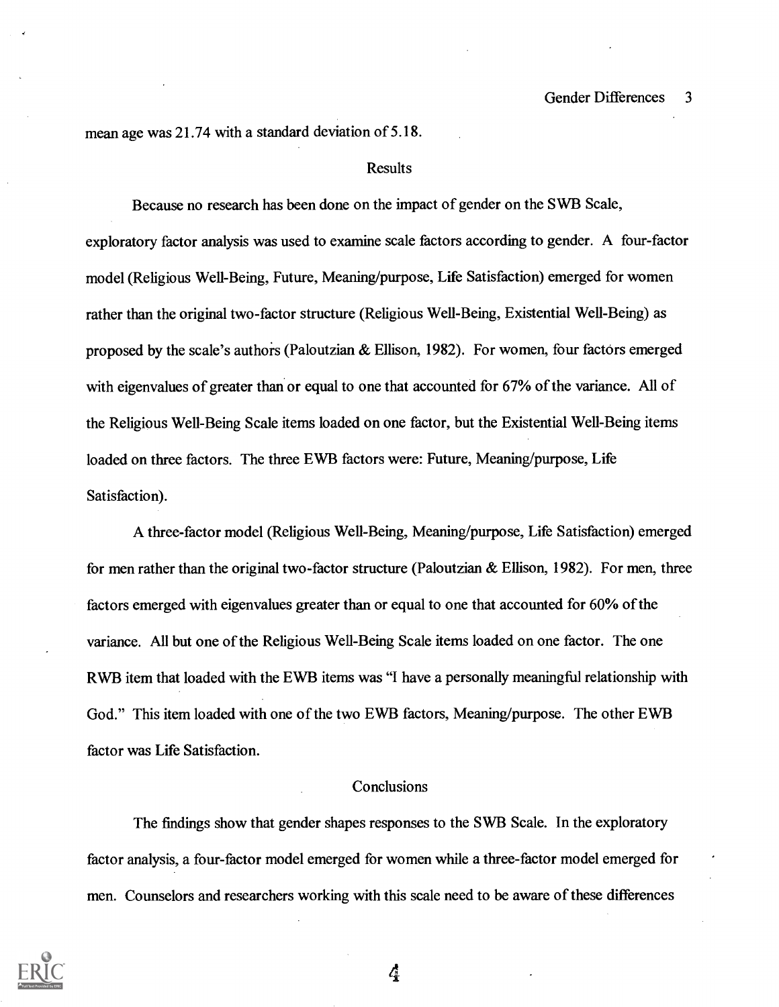mean age was 21.74 with a standard deviation of 5.18.

#### **Results**

Because no research has been done on the impact of gender on the SWB Scale, exploratory factor analysis was used to examine scale factors according to gender. A four-factor model (Religious Well-Being, Future, Meaning/purpose, Life Satisfaction) emerged for women rather than the original two-factor structure (Religious Well-Being, Existential Well-Being) as proposed by the scale's authors (Paloutzian & Ellison, 1982). For women, four factors emerged with eigenvalues of greater than or equal to one that accounted for 67% of the variance. All of the Religious Well-Being Scale items loaded on one factor, but the Existential Well-Being items loaded on three factors. The three EWB factors were: Future, Meaning/purpose, Life Satisfaction).

A three-factor model (Religious Well-Being, Meaning/purpose, Life Satisfaction) emerged for men rather than the original two-factor structure (Paloutzian & Ellison, 1982). For men, three factors emerged with eigenvalues greater than or equal to one that accounted for 60% of the variance. All but one of the Religious Well-Being Scale items loaded on one factor. The one RWB item that loaded with the EWB items was "I have a personally meaningful relationship with God." This item loaded with one of the two EWB factors, Meaning/purpose. The other EWB factor was Life Satisfaction.

#### **Conclusions**

The findings show that gender shapes responses to the SWB Scale. In the exploratory factor analysis, a four-factor model emerged for women while a three-factor model emerged for men. Counselors and researchers working with this scale need to be aware of these differences



4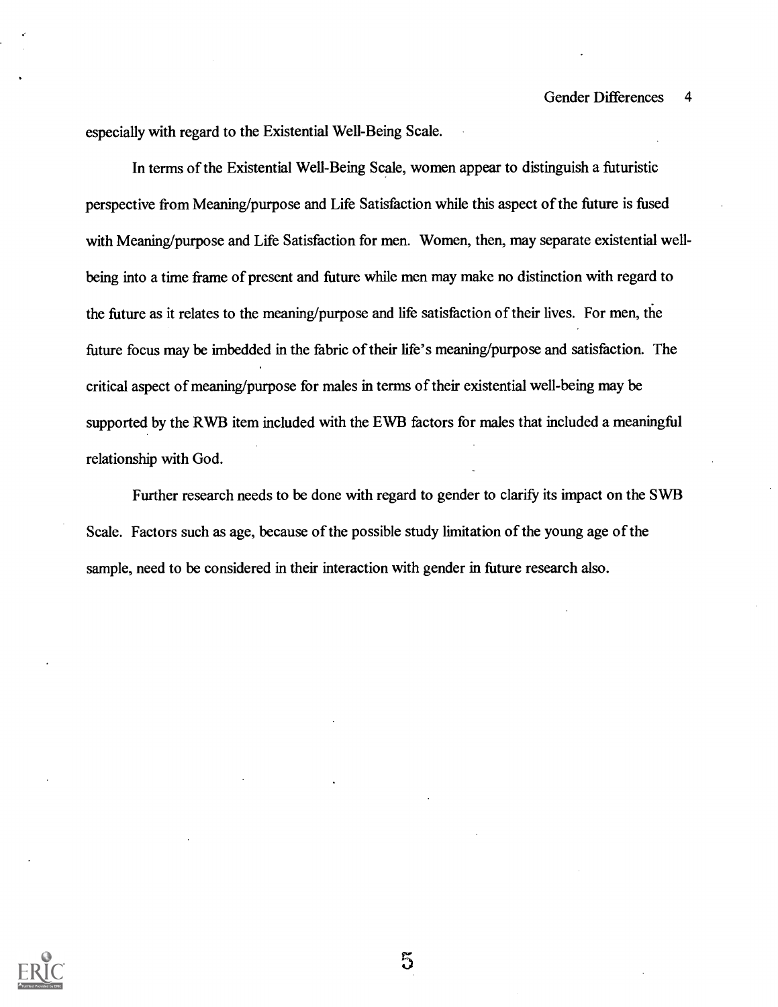especially with regard to the Existential Well-Being Scale.

In terms of the Existential Well-Being Scale, women appear to distinguish a futuristic perspective from Meaning/purpose and Life Satisfaction while this aspect of the future is fused with Meaning/purpose and Life Satisfaction for men. Women, then, may separate existential wellbeing into a time frame of present and future while men may make no distinction with regard to the future as it relates to the meaning/purpose and life satisfaction of their lives. For men, the future focus may be imbedded in the fabric of their life's meaning/purpose and satisfaction. The critical aspect of meaning/purpose for males in terms of their existential well-being may be supported by the RWB item included with the EWB factors for males that included a meaningful relationship with God.

Further research needs to be done with regard to gender to clarify its impact on the SWB Scale. Factors such as age, because of the possible study limitation of the young age of the sample, need to be considered in their interaction with gender in future research also.



 $5\overline{)}$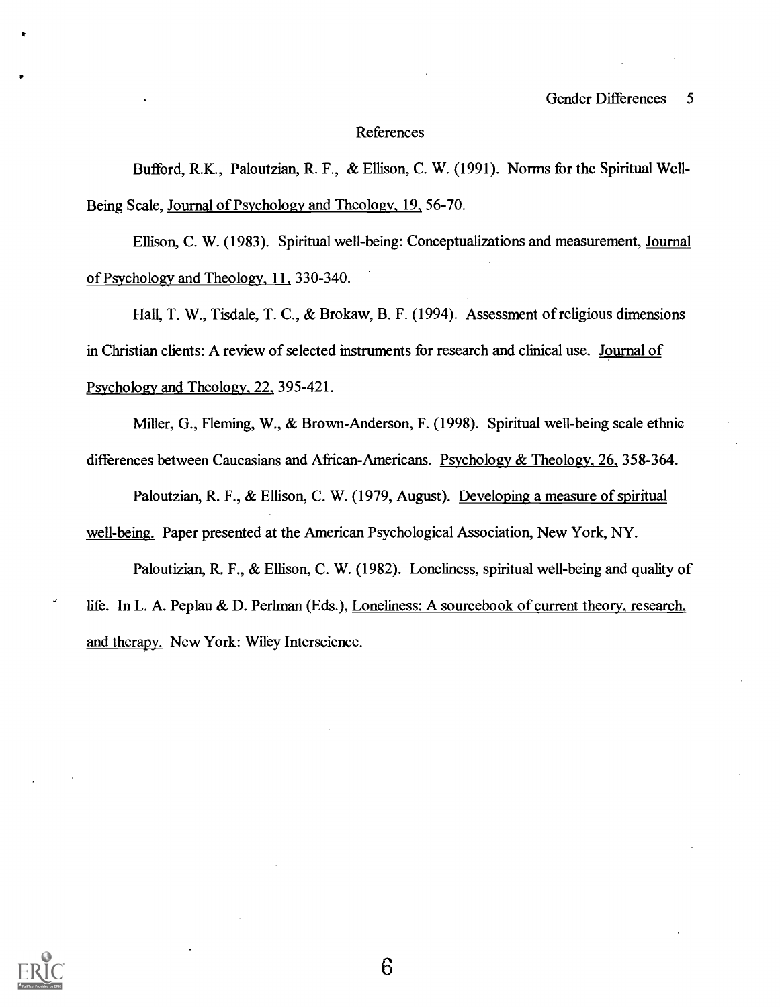#### References

Bufford, R.K., Paloutzian, R. F., & Ellison, C. W. (1991). Norms for the Spiritual Well-Being Scale, Journal of Psychology and Theology, 19, 56-70.

Ellison, C. W. (1983). Spiritual well-being: Conceptualizations and measurement, Journal of Psychology and Theology, 11., 330-340.

Hall, T. W., Tisdale, T. C., & Brokaw, B. F. (1994). Assessment of religious dimensions in Christian clients: A review of selected instruments for research and clinical use. Journal of Psychology and Theology, 22, 395-421.

Miller, G., Fleming, W., & Brown-Anderson, F. (1998). Spiritual well-being scale ethnic differences between Caucasians and African-Americans. Psychology & Theology, 26, 358-364.

Paloutzian, R. F., & Ellison, C. W. (1979, August). Developing a measure of spiritual well-being. Paper presented at the American Psychological Association, New York, NY.

Paloutizian, R. F., & Ellison, C. W. (1982). Loneliness, spiritual well-being and quality of life. In L. A. Peplau & D. Perlman (Eds.), Loneliness: A sourcebook of current theory, research, and therapy. New York: Wiley Interscience.